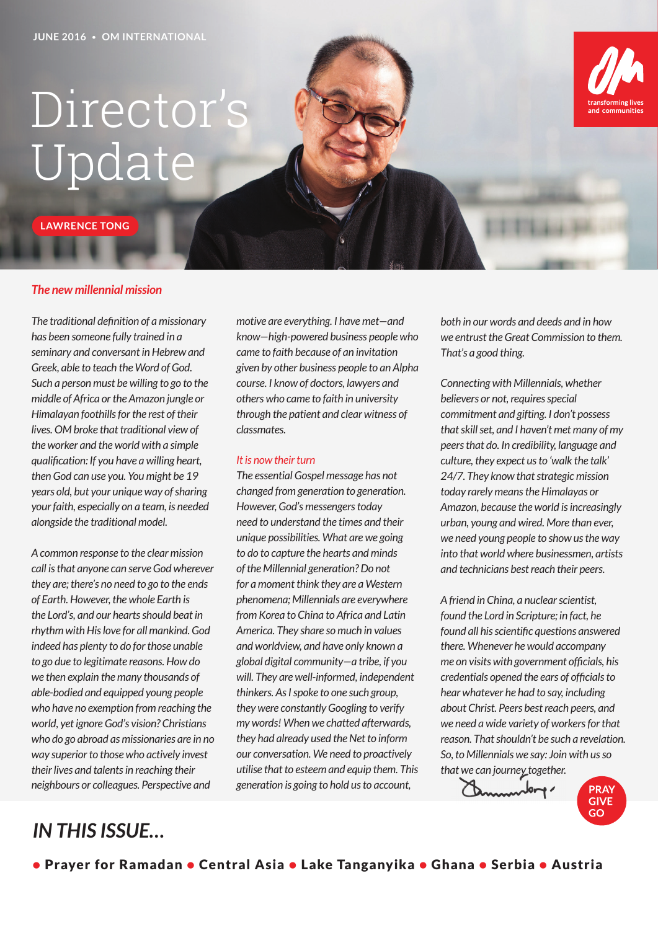# Director's Update

**LAWRENCE TONG**

#### *The new millennial mission*

*The traditional definition of a missionary has been someone fully trained in a seminary and conversant in Hebrew and Greek, able to teach the Word of God. Such a person must be willing to go to the middle of Africa or the Amazon jungle or Himalayan foothills for the rest of their lives. OM broke that traditional view of the worker and the world with a simple qualification: If you have a willing heart, then God can use you. You might be 19 years old, but your unique way of sharing your faith, especially on a team, is needed alongside the traditional model.* 

*A common response to the clear mission call is that anyone can serve God wherever they are; there's no need to go to the ends of Earth. However, the whole Earth is the Lord's, and our hearts should beat in rhythm with His love for all mankind. God indeed has plenty to do for those unable to go due to legitimate reasons. How do we then explain the many thousands of able-bodied and equipped young people who have no exemption from reaching the world, yet ignore God's vision? Christians who do go abroad as missionaries are in no way superior to those who actively invest their lives and talents in reaching their neighbours or colleagues. Perspective and* 

*motive are everything. I have met—and know—high-powered business people who came to faith because of an invitation given by other business people to an Alpha course. I know of doctors, lawyers and others who came to faith in university through the patient and clear witness of classmates.* 

#### *It is now their turn*

*The essential Gospel message has not changed from generation to generation. However, God's messengers today need to understand the times and their unique possibilities. What are we going to do to capture the hearts and minds of the Millennial generation? Do not for a moment think they are a Western phenomena; Millennials are everywhere from Korea to China to Africa and Latin America. They share so much in values and worldview, and have only known a global digital community—a tribe, if you will. They are well-informed, independent thinkers. As I spoke to one such group, they were constantly Googling to verify my words! When we chatted afterwards, they had already used the Net to inform our conversation. We need to proactively utilise that to esteem and equip them. This generation is going to hold us to account,* 

*both in our words and deeds and in how we entrust the Great Commission to them. That's a good thing.* 

communitie

*Connecting with Millennials, whether believers or not, requires special commitment and gifting. I don't possess that skill set, and I haven't met many of my peers that do. In credibility, language and culture, they expect us to 'walk the talk' 24/7. They know that strategic mission today rarely means the Himalayas or Amazon, because the world is increasingly urban, young and wired. More than ever, we need young people to show us the way into that world where businessmen, artists and technicians best reach their peers.* 

*A friend in China, a nuclear scientist, found the Lord in Scripture; in fact, he found all his scientific questions answered there. Whenever he would accompany me on visits with government officials, his credentials opened the ears of officials to hear whatever he had to say, including about Christ. Peers best reach peers, and we need a wide variety of workers for that reason. That shouldn't be such a revelation. So, to Millennials we say: Join with us so that we can journey together.* 

mender **PRAY GIVE** GO

# *IN THIS ISSUE…*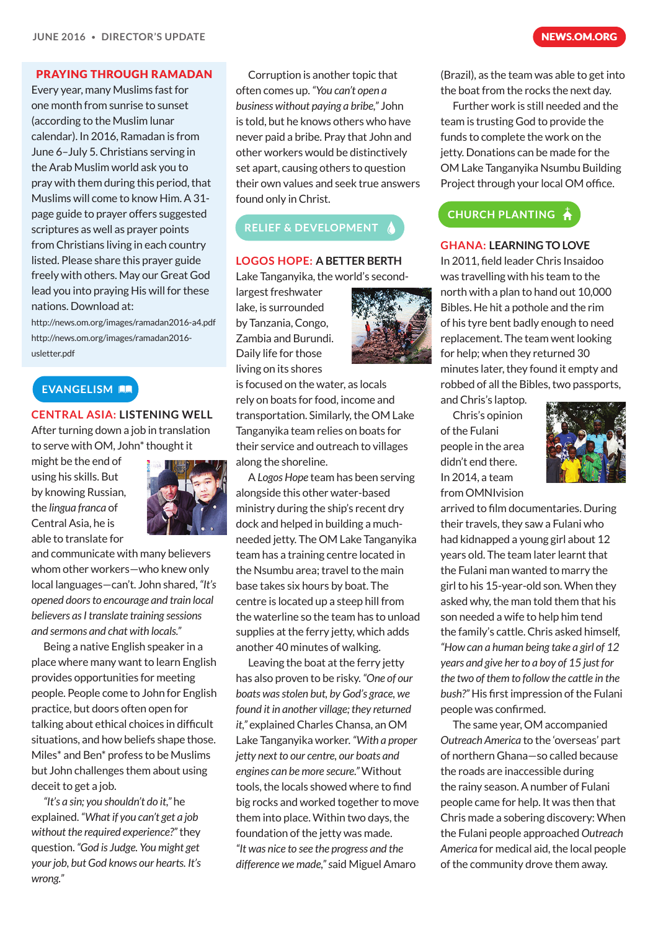#### PRAYING THROUGH RAMADAN

Every year, many Muslims fast for one month from sunrise to sunset (according to the Muslim lunar calendar). In 2016, Ramadan is from June 6–July 5. Christians serving in the Arab Muslim world ask you to pray with them during this period, that Muslims will come to know Him. A 31 page guide to prayer offers suggested scriptures as well as prayer points from Christians living in each country listed. Please share this prayer guide freely with others. May our Great God lead you into praying His will for these nations. Download at:

http://news.om.org/images/ramadan2016-a4.pdf http://news.om.org/images/ramadan2016 usletter.pdf

#### EVANGELISM **AR**

**CENTRAL ASIA: LISTENING WELL** After turning down a job in translation to serve with OM, John\* thought it

might be the end of using his skills. But by knowing Russian, the *lingua franca* of Central Asia, he is able to translate for



and communicate with many believers whom other workers—who knew only local languages—can't. John shared, *"It's opened doors to encourage and train local believers as I translate training sessions and sermons and chat with locals."*

Being a native English speaker in a place where many want to learn English provides opportunities for meeting people. People come to John for English practice, but doors often open for talking about ethical choices in difficult situations, and how beliefs shape those. Miles\* and Ben\* profess to be Muslims but John challenges them about using deceit to get a job.

*"It's a sin; you shouldn't do it,"* he explained. *"What if you can't get a job without the required experience?"* they question. *"God is Judge. You might get your job, but God knows our hearts. It's wrong."*

Corruption is another topic that often comes up. *"You can't open a business without paying a bribe,"* John is told, but he knows others who have never paid a bribe. Pray that John and other workers would be distinctively set apart, causing others to question their own values and seek true answers found only in Christ.

### **RELIEF & DEVELOPMENT /**

#### **LOGOS HOPE: A BETTER BERTH**

Lake Tanganyika, the world's second-

largest freshwater lake, is surrounded by Tanzania, Congo, Zambia and Burundi. Daily life for those living on its shores



is focused on the water, as locals rely on boats for food, income and transportation. Similarly, the OM Lake Tanganyika team relies on boats for their service and outreach to villages along the shoreline.

A *Logos Hope* team has been serving alongside this other water-based ministry during the ship's recent dry dock and helped in building a muchneeded jetty. The OM Lake Tanganyika team has a training centre located in the Nsumbu area; travel to the main base takes six hours by boat. The centre is located up a steep hill from the waterline so the team has to unload supplies at the ferry jetty, which adds another 40 minutes of walking.

Leaving the boat at the ferry jetty has also proven to be risky. *"One of our boats was stolen but, by God's grace, we found it in another village; they returned it,"* explained Charles Chansa, an OM Lake Tanganyika worker. *"With a proper jetty next to our centre, our boats and engines can be more secure."* Without tools, the locals showed where to find big rocks and worked together to move them into place. Within two days, the foundation of the jetty was made. *"It was nice to see the progress and the difference we made," s*aid Miguel Amaro

(Brazil), as the team was able to get into the boat from the rocks the next day.

Further work is still needed and the team is trusting God to provide the funds to complete the work on the jetty. Donations can be made for the OM Lake Tanganyika Nsumbu Building Project through your local OM office.

### CHURCH PLANTING A

#### **GHANA: LEARNING TO LOVE**

In 2011, field leader Chris Insaidoo was travelling with his team to the north with a plan to hand out 10,000 Bibles. He hit a pothole and the rim of his tyre bent badly enough to need replacement. The team went looking for help; when they returned 30 minutes later, they found it empty and robbed of all the Bibles, two passports,

and Chris's laptop. Chris's opinion of the Fulani people in the area didn't end there. In 2014, a team from OMNIvision



arrived to film documentaries. During their travels, they saw a Fulani who had kidnapped a young girl about 12 years old. The team later learnt that the Fulani man wanted to marry the girl to his 15-year-old son. When they asked why, the man told them that his son needed a wife to help him tend the family's cattle. Chris asked himself, *"How can a human being take a girl of 12 years and give her to a boy of 15 just for the two of them to follow the cattle in the bush?"* His first impression of the Fulani people was confirmed.

The same year, OM accompanied *Outreach America* to the 'overseas' part of northern Ghana—so called because the roads are inaccessible during the rainy season. A number of Fulani people came for help. It was then that Chris made a sobering discovery: When the Fulani people approached *Outreach America* for medical aid, the local people of the community drove them away.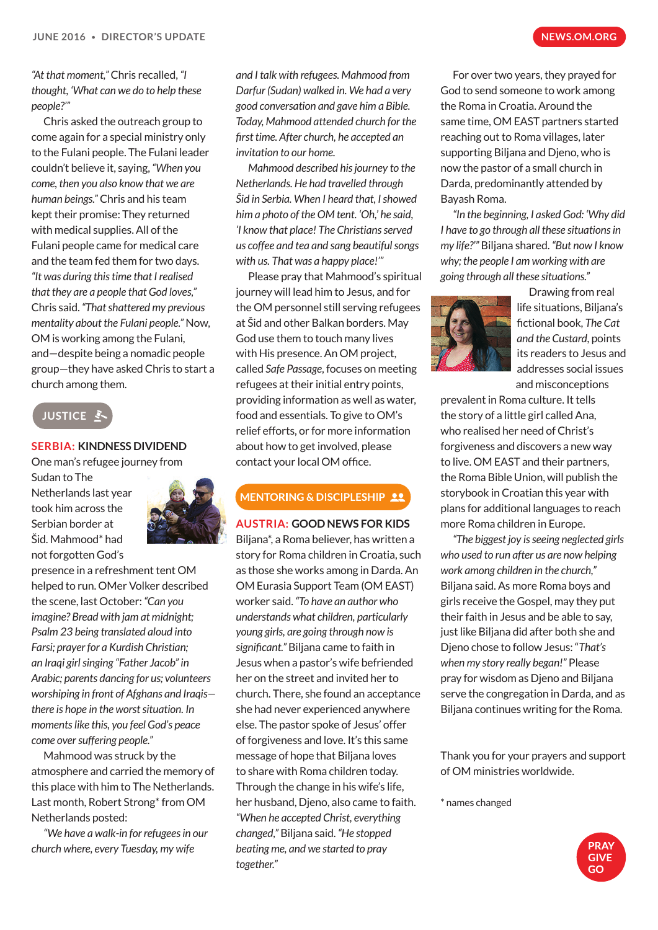*"At that moment,"* Chris recalled, *"I thought, 'What can we do to help these people?'"*

Chris asked the outreach group to come again for a special ministry only to the Fulani people. The Fulani leader couldn't believe it, saying, *"When you come, then you also know that we are human beings."* Chris and his team kept their promise: They returned with medical supplies. All of the Fulani people came for medical care and the team fed them for two days. *"It was during this time that I realised that they are a people that God loves,"*  Chris said. *"That shattered my previous mentality about the Fulani people."* Now, OM is working among the Fulani, and—despite being a nomadic people group—they have asked Chris to start a church among them.

**JUSTICE &** 

#### **SERBIA: KINDNESS DIVIDEND**

One man's refugee journey from

Sudan to The Netherlands last year took him across the Serbian border at Šid. Mahmood\* had not forgotten God's



presence in a refreshment tent OM helped to run. OMer Volker described the scene, last October: *"Can you imagine? Bread with jam at midnight; Psalm 23 being translated aloud into Farsi; prayer for a Kurdish Christian; an Iraqi girl singing "Father Jacob" in Arabic; parents dancing for us; volunteers worshiping in front of Afghans and Iraqis there is hope in the worst situation. In moments like this, you feel God's peace come over suffering people."*

Mahmood was struck by the atmosphere and carried the memory of this place with him to The Netherlands. Last month, Robert Strong\* from OM Netherlands posted:

*"We have a walk-in for refugees in our church where, every Tuesday, my wife* 

*and I talk with refugees. Mahmood from Darfur (Sudan) walked in. We had a very good conversation and gave him a Bible. Today, Mahmood attended church for the first time. After church, he accepted an invitation to our home.*

*Mahmood described his journey to the Netherlands. He had travelled through Šid in Serbia. When I heard that, I showed him a photo of the OM tent. 'Oh,' he said, 'I know that place! The Christians served us coffee and tea and sang beautiful songs with us. That was a happy place!'"*

Please pray that Mahmood's spiritual journey will lead him to Jesus, and for the OM personnel still serving refugees at Šid and other Balkan borders. May God use them to touch many lives with His presence. An OM project, called *Safe Passage*, focuses on meeting refugees at their initial entry points, providing information as well as water, food and essentials. To give to OM's relief efforts, or for more information about how to get involved, please contact your local OM office.

## **MENTORING & DISCIPLESHIP 22**

#### **AUSTRIA: GOOD NEWS FOR KIDS**

Biljana\*, a Roma believer, has written a story for Roma children in Croatia, such as those she works among in Darda. An OM Eurasia Support Team (OM EAST) worker said. *"To have an author who understands what children, particularly young girls, are going through now is significant."* Biljana came to faith in Jesus when a pastor's wife befriended her on the street and invited her to church. There, she found an acceptance she had never experienced anywhere else. The pastor spoke of Jesus' offer of forgiveness and love. It's this same message of hope that Biljana loves to share with Roma children today. Through the change in his wife's life, her husband, Djeno, also came to faith. *"When he accepted Christ, everything changed,"* Biljana said. *"He stopped beating me, and we started to pray together."*

For over two years, they prayed for God to send someone to work among the Roma in Croatia. Around the same time, OM EAST partners started reaching out to Roma villages, later supporting Biljana and Djeno, who is now the pastor of a small church in Darda, predominantly attended by Bayash Roma.

*"In the beginning, I asked God: 'Why did I have to go through all these situations in my life?'"* Biljana shared. *"But now I know why; the people I am working with are going through all these situations."*



Drawing from real life situations, Biljana's fictional book, *The Cat and the Custard*, points its readers to Jesus and addresses social issues and misconceptions

prevalent in Roma culture. It tells the story of a little girl called Ana, who realised her need of Christ's forgiveness and discovers a new way to live. OM EAST and their partners, the Roma Bible Union, will publish the storybook in Croatian this year with plans for additional languages to reach more Roma children in Europe.

*"The biggest joy is seeing neglected girls who used to run after us are now helping work among children in the church,"*  Biljana said. As more Roma boys and girls receive the Gospel, may they put their faith in Jesus and be able to say, just like Biljana did after both she and Djeno chose to follow Jesus: "*That's when my story really began!"* Please pray for wisdom as Djeno and Biljana serve the congregation in Darda, and as Biljana continues writing for the Roma.

Thank you for your prayers and support of OM ministries worldwide.

\* names changed